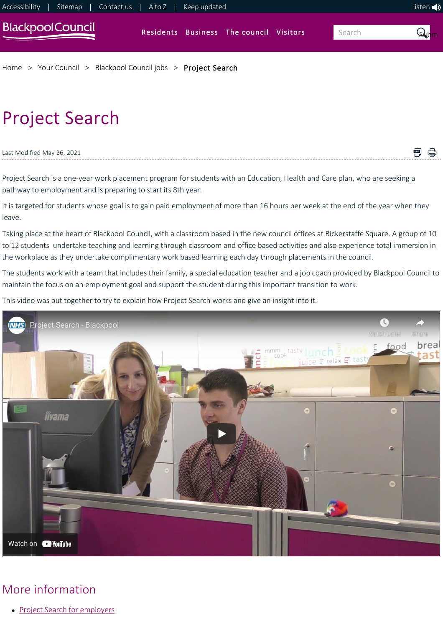

# Project Search

### Last Modified May 26, 2021

<span id="page-0-0"></span>Project Search is a one‐year work placement program for students with an Education, Health and Care plan, who are seeking a pathway to employment and is preparing to start its 8th year.

It is targeted for students whose goal is to gain paid employment of more than 16 hours per week at the end of the year when they leave.

日 骨

Taking place at the heart of Blackpool Council, with a classroom based in the new council offices at Bickerstaffe Square. A group of 10 to 12 students undertake teaching and learning through classroom and office based activities and also experience total immersion in the workplace as they undertake complimentary work based learning each day through placements in the council.

The students work with a team that includes their family, a special education teacher and a job coach provided by Blackpool Council to maintain the focus on an employment goal and support the student during this important transition to work.

This video was put together to try to explain how Project Search works and give an insight into it.



## More information

• [Project Search for employers](https://www.blackpool.gov.uk/Your-Council/Blackpool-Council-jobs/Project-Search/Project-Search---For-employers.aspx)